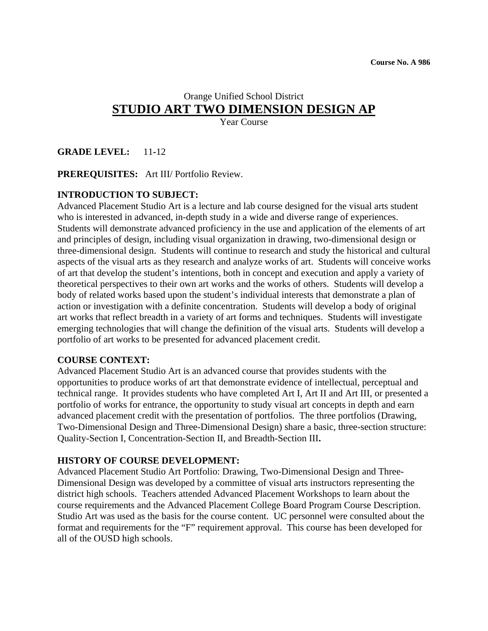# Orange Unified School District **STUDIO ART TWO DIMENSION DESIGN AP**

Year Course

**GRADE LEVEL:** 11**-**12

**PREREQUISITES:** Art III/ Portfolio Review.

### **INTRODUCTION TO SUBJECT:**

Advanced Placement Studio Art is a lecture and lab course designed for the visual arts student who is interested in advanced, in-depth study in a wide and diverse range of experiences. Students will demonstrate advanced proficiency in the use and application of the elements of art and principles of design, including visual organization in drawing, two-dimensional design or three-dimensional design. Students will continue to research and study the historical and cultural aspects of the visual arts as they research and analyze works of art. Students will conceive works of art that develop the student's intentions, both in concept and execution and apply a variety of theoretical perspectives to their own art works and the works of others. Students will develop a body of related works based upon the student's individual interests that demonstrate a plan of action or investigation with a definite concentration. Students will develop a body of original art works that reflect breadth in a variety of art forms and techniques. Students will investigate emerging technologies that will change the definition of the visual arts. Students will develop a portfolio of art works to be presented for advanced placement credit.

#### **COURSE CONTEXT:**

 Advanced Placement Studio Art is an advanced course that provides students with the opportunities to produce works of art that demonstrate evidence of intellectual, perceptual and technical range. It provides students who have completed Art I, Art II and Art III, or presented a portfolio of works for entrance, the opportunity to study visual art concepts in depth and earn advanced placement credit with the presentation of portfolios. The three portfolios (Drawing, Two-Dimensional Design and Three-Dimensional Design) share a basic, three-section structure: Quality-Section I, Concentration-Section II, and Breadth-Section III**.** 

#### **HISTORY OF COURSE DEVELOPMENT:**

 Advanced Placement Studio Art Portfolio: Drawing, Two-Dimensional Design and Three- Dimensional Design was developed by a committee of visual arts instructors representing the district high schools. Teachers attended Advanced Placement Workshops to learn about the course requirements and the Advanced Placement College Board Program Course Description. Studio Art was used as the basis for the course content. UC personnel were consulted about the format and requirements for the "F" requirement approval. This course has been developed for all of the OUSD high schools.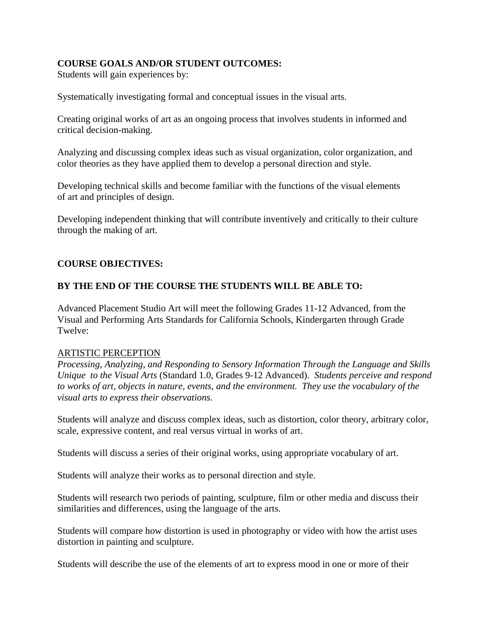## **COURSE GOALS AND/OR STUDENT OUTCOMES:**

Students will gain experiences by:

Systematically investigating formal and conceptual issues in the visual arts.

Creating original works of art as an ongoing process that involves students in informed and critical decision-making.

Analyzing and discussing complex ideas such as visual organization, color organization, and color theories as they have applied them to develop a personal direction and style.

Developing technical skills and become familiar with the functions of the visual elements of art and principles of design.

Developing independent thinking that will contribute inventively and critically to their culture through the making of art.

## **COURSE OBJECTIVES:**

### **BY THE END OF THE COURSE THE STUDENTS WILL BE ABLE TO:**

Advanced Placement Studio Art will meet the following Grades 11-12 Advanced, from the Visual and Performing Arts Standards for California Schools, Kindergarten through Grade Twelve:

#### ARTISTIC PERCEPTION

 *Processing, Analyzing, and Responding to Sensory Information Through the Language and Skills Unique to the Visual Arts* (Standard 1.0, Grades 9-12 Advanced). *Students perceive and respond to works of art, objects in nature, events, and the environment. They use the vocabulary of the visual arts to express their observations.* 

Students will analyze and discuss complex ideas, such as distortion, color theory, arbitrary color, scale, expressive content, and real versus virtual in works of art.

Students will discuss a series of their original works, using appropriate vocabulary of art.

Students will analyze their works as to personal direction and style.

Students will research two periods of painting, sculpture, film or other media and discuss their similarities and differences, using the language of the arts.

Students will compare how distortion is used in photography or video with how the artist uses distortion in painting and sculpture.

Students will describe the use of the elements of art to express mood in one or more of their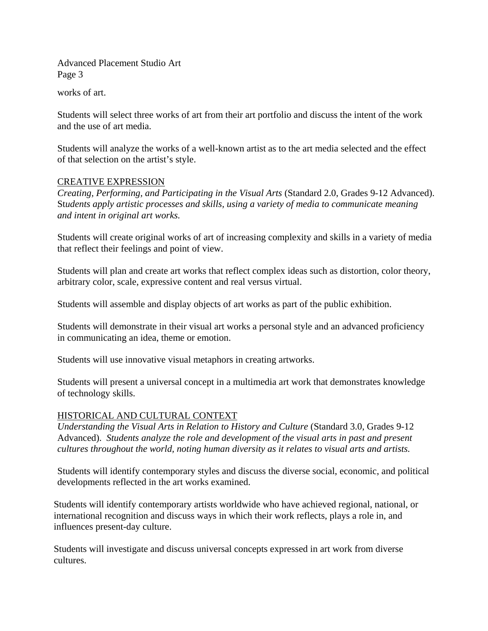works of art.

Students will select three works of art from their art portfolio and discuss the intent of the work and the use of art media.

Students will analyze the works of a well-known artist as to the art media selected and the effect of that selection on the artist's style.

#### CREATIVE EXPRESSION

 *Creating, Performing, and Participating in the Visual Arts* (Standard 2.0, Grades 9-12 Advanced). St*udents apply artistic processes and skills, using a variety of media to communicate meaning and intent in original art works.* 

Students will create original works of art of increasing complexity and skills in a variety of media that reflect their feelings and point of view.

Students will plan and create art works that reflect complex ideas such as distortion, color theory, arbitrary color, scale, expressive content and real versus virtual.

Students will assemble and display objects of art works as part of the public exhibition.

Students will demonstrate in their visual art works a personal style and an advanced proficiency in communicating an idea, theme or emotion.

Students will use innovative visual metaphors in creating artworks.

Students will present a universal concept in a multimedia art work that demonstrates knowledge of technology skills.

#### HISTORICAL AND CULTURAL CONTEXT

*Understanding the Visual Arts in Relation to History and Culture (Standard 3.0, Grades 9-12)* Advanced). *Students analyze the role and development of the visual arts in past and present cultures throughout the world, noting human diversity as it relates to visual arts and artists.* 

Students will identify contemporary styles and discuss the diverse social, economic, and political developments reflected in the art works examined.

Students will identify contemporary artists worldwide who have achieved regional, national, or international recognition and discuss ways in which their work reflects, plays a role in, and influences present-day culture.

Students will investigate and discuss universal concepts expressed in art work from diverse cultures.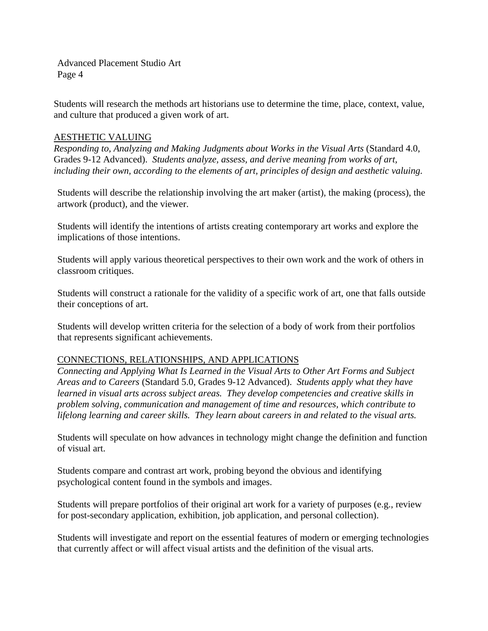Students will research the methods art historians use to determine the time, place, context, value, and culture that produced a given work of art.

#### AESTHETIC VALUING

*Responding to, Analyzing and Making Judgments about Works in the Visual Arts* (Standard 4.0, Grades 9-12 Advanced). *Students analyze, assess, and derive meaning from works of art, including their own, according to the elements of art, principles of design and aesthetic valuing.* 

Students will describe the relationship involving the art maker (artist), the making (process), the artwork (product), and the viewer.

Students will identify the intentions of artists creating contemporary art works and explore the implications of those intentions.

Students will apply various theoretical perspectives to their own work and the work of others in classroom critiques.

Students will construct a rationale for the validity of a specific work of art, one that falls outside their conceptions of art.

Students will develop written criteria for the selection of a body of work from their portfolios that represents significant achievements.

#### CONNECTIONS, RELATIONSHIPS, AND APPLICATIONS

*Connecting and Applying What Is Learned in the Visual Arts to Other Art Forms and Subject Areas and to Careers* (Standard 5.0, Grades 9-12 Advanced). *Students apply what they have learned in visual arts across subject areas. They develop competencies and creative skills in problem solving, communication and management of time and resources, which contribute to lifelong learning and career skills. They learn about careers in and related to the visual arts.* 

Students will speculate on how advances in technology might change the definition and function of visual art.

Students compare and contrast art work, probing beyond the obvious and identifying psychological content found in the symbols and images.

Students will prepare portfolios of their original art work for a variety of purposes (e.g., review for post-secondary application, exhibition, job application, and personal collection).

Students will investigate and report on the essential features of modern or emerging technologies that currently affect or will affect visual artists and the definition of the visual arts.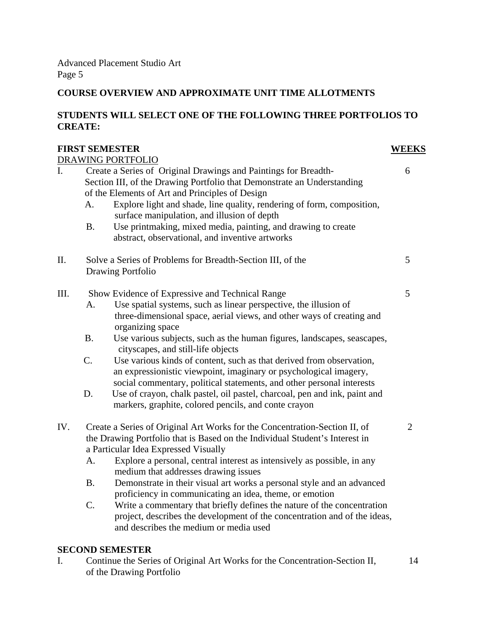# **COURSE OVERVIEW AND APPROXIMATE UNIT TIME ALLOTMENTS**

### **STUDENTS WILL SELECT ONE OF THE FOLLOWING THREE PORTFOLIOS TO CREATE:**

|      |                                                                             | <b>FIRST SEMESTER</b>                                                                                                                                                                                              | <b>WEEKS</b>   |
|------|-----------------------------------------------------------------------------|--------------------------------------------------------------------------------------------------------------------------------------------------------------------------------------------------------------------|----------------|
|      |                                                                             | DRAWING PORTFOLIO                                                                                                                                                                                                  |                |
| I.   | Create a Series of Original Drawings and Paintings for Breadth-             |                                                                                                                                                                                                                    |                |
|      | Section III, of the Drawing Portfolio that Demonstrate an Understanding     |                                                                                                                                                                                                                    |                |
|      |                                                                             | of the Elements of Art and Principles of Design                                                                                                                                                                    |                |
|      | A.                                                                          | Explore light and shade, line quality, rendering of form, composition,                                                                                                                                             |                |
|      | <b>B.</b>                                                                   | surface manipulation, and illusion of depth<br>Use printmaking, mixed media, painting, and drawing to create                                                                                                       |                |
|      |                                                                             | abstract, observational, and inventive artworks                                                                                                                                                                    |                |
| II.  |                                                                             | Solve a Series of Problems for Breadth-Section III, of the                                                                                                                                                         | 5              |
|      |                                                                             | <b>Drawing Portfolio</b>                                                                                                                                                                                           |                |
|      |                                                                             |                                                                                                                                                                                                                    |                |
| III. | Show Evidence of Expressive and Technical Range                             |                                                                                                                                                                                                                    | 5              |
|      | A.                                                                          | Use spatial systems, such as linear perspective, the illusion of                                                                                                                                                   |                |
|      |                                                                             | three-dimensional space, aerial views, and other ways of creating and<br>organizing space                                                                                                                          |                |
|      | Β.                                                                          | Use various subjects, such as the human figures, landscapes, seascapes,<br>cityscapes, and still-life objects                                                                                                      |                |
|      | C.                                                                          | Use various kinds of content, such as that derived from observation,<br>an expressionistic viewpoint, imaginary or psychological imagery,<br>social commentary, political statements, and other personal interests |                |
|      | D.                                                                          | Use of crayon, chalk pastel, oil pastel, charcoal, pen and ink, paint and<br>markers, graphite, colored pencils, and conte crayon                                                                                  |                |
| IV.  | Create a Series of Original Art Works for the Concentration-Section II, of  |                                                                                                                                                                                                                    | $\overline{2}$ |
|      | the Drawing Portfolio that is Based on the Individual Student's Interest in |                                                                                                                                                                                                                    |                |
|      |                                                                             | a Particular Idea Expressed Visually                                                                                                                                                                               |                |
|      | A.                                                                          | Explore a personal, central interest as intensively as possible, in any<br>medium that addresses drawing issues                                                                                                    |                |
|      | <b>B.</b>                                                                   | Demonstrate in their visual art works a personal style and an advanced<br>proficiency in communicating an idea, theme, or emotion                                                                                  |                |
|      | C.                                                                          | Write a commentary that briefly defines the nature of the concentration                                                                                                                                            |                |
|      |                                                                             | project, describes the development of the concentration and of the ideas,                                                                                                                                          |                |
|      |                                                                             | and describes the medium or media used                                                                                                                                                                             |                |
|      |                                                                             | <b>SECOND SEMESTER</b>                                                                                                                                                                                             |                |

I. Continue the Series of Original Art Works for the Concentration-Section II, 14 of the Drawing Portfolio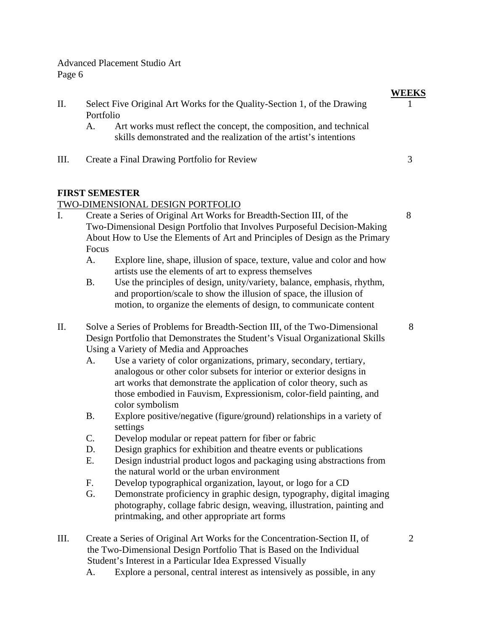| Π.  |                                                                                                                                                             | Select Five Original Art Works for the Quality-Section 1, of the Drawing                                                                                                                                                                                                                                                                                | <b>WEEKS</b>   |
|-----|-------------------------------------------------------------------------------------------------------------------------------------------------------------|---------------------------------------------------------------------------------------------------------------------------------------------------------------------------------------------------------------------------------------------------------------------------------------------------------------------------------------------------------|----------------|
|     | Portfolio<br>A.                                                                                                                                             | Art works must reflect the concept, the composition, and technical<br>skills demonstrated and the realization of the artist's intentions                                                                                                                                                                                                                |                |
| Ш.  |                                                                                                                                                             | Create a Final Drawing Portfolio for Review                                                                                                                                                                                                                                                                                                             | 3              |
|     |                                                                                                                                                             | <b>FIRST SEMESTER</b>                                                                                                                                                                                                                                                                                                                                   |                |
|     |                                                                                                                                                             | TWO-DIMENSIONAL DESIGN PORTFOLIO                                                                                                                                                                                                                                                                                                                        |                |
| I.  | Focus                                                                                                                                                       | Create a Series of Original Art Works for Breadth-Section III, of the<br>Two-Dimensional Design Portfolio that Involves Purposeful Decision-Making<br>About How to Use the Elements of Art and Principles of Design as the Primary                                                                                                                      | 8              |
|     | A.                                                                                                                                                          | Explore line, shape, illusion of space, texture, value and color and how<br>artists use the elements of art to express themselves                                                                                                                                                                                                                       |                |
|     | <b>B.</b>                                                                                                                                                   | Use the principles of design, unity/variety, balance, emphasis, rhythm,<br>and proportion/scale to show the illusion of space, the illusion of<br>motion, to organize the elements of design, to communicate content                                                                                                                                    |                |
| II. | Solve a Series of Problems for Breadth-Section III, of the Two-Dimensional<br>Design Portfolio that Demonstrates the Student's Visual Organizational Skills |                                                                                                                                                                                                                                                                                                                                                         |                |
|     | A.                                                                                                                                                          | Using a Variety of Media and Approaches<br>Use a variety of color organizations, primary, secondary, tertiary,<br>analogous or other color subsets for interior or exterior designs in<br>art works that demonstrate the application of color theory, such as<br>those embodied in Fauvism, Expressionism, color-field painting, and<br>color symbolism |                |
|     | <b>B.</b>                                                                                                                                                   | Explore positive/negative (figure/ground) relationships in a variety of<br>settings                                                                                                                                                                                                                                                                     |                |
|     | C.                                                                                                                                                          | Develop modular or repeat pattern for fiber or fabric                                                                                                                                                                                                                                                                                                   |                |
|     | D.                                                                                                                                                          | Design graphics for exhibition and theatre events or publications                                                                                                                                                                                                                                                                                       |                |
|     | Ε.                                                                                                                                                          | Design industrial product logos and packaging using abstractions from<br>the natural world or the urban environment                                                                                                                                                                                                                                     |                |
|     | F.                                                                                                                                                          | Develop typographical organization, layout, or logo for a CD                                                                                                                                                                                                                                                                                            |                |
|     | G.                                                                                                                                                          | Demonstrate proficiency in graphic design, typography, digital imaging<br>photography, collage fabric design, weaving, illustration, painting and<br>printmaking, and other appropriate art forms                                                                                                                                                       |                |
| Ш.  |                                                                                                                                                             | Create a Series of Original Art Works for the Concentration-Section II, of<br>the Two-Dimensional Design Portfolio That is Based on the Individual<br>Student's Interest in a Particular Idea Expressed Visually                                                                                                                                        | $\overline{2}$ |

A. Explore a personal, central interest as intensively as possible, in any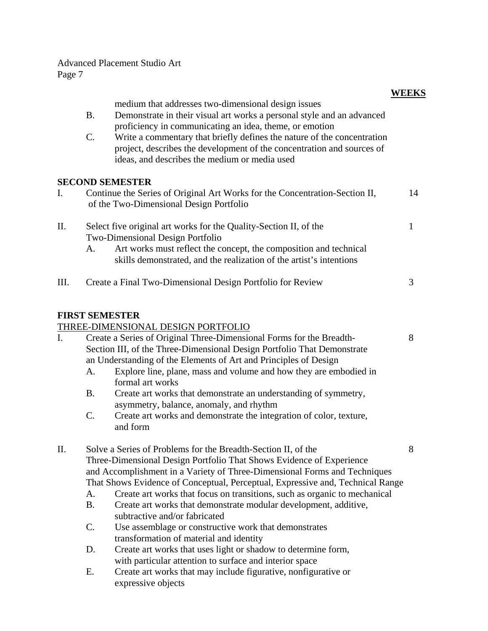|      |                                                                                                                                       |                                                                                                                                                                                                    | <b>WEEKS</b> |  |  |
|------|---------------------------------------------------------------------------------------------------------------------------------------|----------------------------------------------------------------------------------------------------------------------------------------------------------------------------------------------------|--------------|--|--|
|      | <b>B.</b>                                                                                                                             | medium that addresses two-dimensional design issues<br>Demonstrate in their visual art works a personal style and an advanced<br>proficiency in communicating an idea, theme, or emotion           |              |  |  |
|      | C.                                                                                                                                    | Write a commentary that briefly defines the nature of the concentration<br>project, describes the development of the concentration and sources of<br>ideas, and describes the medium or media used |              |  |  |
|      |                                                                                                                                       | <b>SECOND SEMESTER</b>                                                                                                                                                                             |              |  |  |
| I.   |                                                                                                                                       | Continue the Series of Original Art Works for the Concentration-Section II,<br>of the Two-Dimensional Design Portfolio                                                                             | 14           |  |  |
| Π.   |                                                                                                                                       | Select five original art works for the Quality-Section II, of the<br>Two-Dimensional Design Portfolio                                                                                              | $\mathbf{1}$ |  |  |
|      | A.                                                                                                                                    | Art works must reflect the concept, the composition and technical<br>skills demonstrated, and the realization of the artist's intentions                                                           |              |  |  |
| III. |                                                                                                                                       | Create a Final Two-Dimensional Design Portfolio for Review                                                                                                                                         | 3            |  |  |
|      | <b>FIRST SEMESTER</b>                                                                                                                 | THREE-DIMENSIONAL DESIGN PORTFOLIO                                                                                                                                                                 |              |  |  |
| I.   |                                                                                                                                       | Create a Series of Original Three-Dimensional Forms for the Breadth-                                                                                                                               | 8            |  |  |
|      |                                                                                                                                       | Section III, of the Three-Dimensional Design Portfolio That Demonstrate<br>an Understanding of the Elements of Art and Principles of Design                                                        |              |  |  |
|      | A.                                                                                                                                    | Explore line, plane, mass and volume and how they are embodied in<br>formal art works                                                                                                              |              |  |  |
|      | <b>B.</b>                                                                                                                             | Create art works that demonstrate an understanding of symmetry,<br>asymmetry, balance, anomaly, and rhythm                                                                                         |              |  |  |
|      | $\mathcal{C}$ .                                                                                                                       | Create art works and demonstrate the integration of color, texture,<br>and form                                                                                                                    |              |  |  |
| П.   | Solve a Series of Problems for the Breadth-Section II, of the<br>Three-Dimensional Design Portfolio That Shows Evidence of Experience |                                                                                                                                                                                                    |              |  |  |
|      | and Accomplishment in a Variety of Three-Dimensional Forms and Techniques                                                             |                                                                                                                                                                                                    |              |  |  |
|      | That Shows Evidence of Conceptual, Perceptual, Expressive and, Technical Range                                                        |                                                                                                                                                                                                    |              |  |  |
|      | A.                                                                                                                                    | Create art works that focus on transitions, such as organic to mechanical                                                                                                                          |              |  |  |
|      | <b>B.</b>                                                                                                                             | Create art works that demonstrate modular development, additive,                                                                                                                                   |              |  |  |
|      |                                                                                                                                       | subtractive and/or fabricated                                                                                                                                                                      |              |  |  |
|      | C.                                                                                                                                    | Use assemblage or constructive work that demonstrates<br>transformation of material and identity                                                                                                   |              |  |  |
|      | D.                                                                                                                                    | Create art works that uses light or shadow to determine form,                                                                                                                                      |              |  |  |
|      |                                                                                                                                       | with particular attention to surface and interior space                                                                                                                                            |              |  |  |

E. Create art works that may include figurative, nonfigurative or expressive objects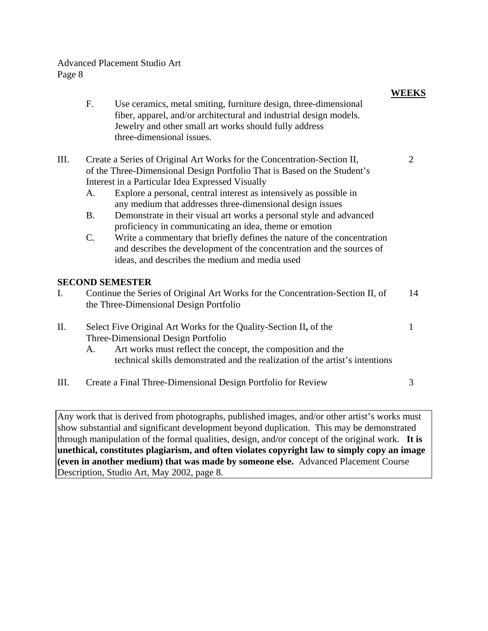|      |                          |                                                                                                                                                                                                                                                                                                                                                                                                                                                                                                                                                                                                                                                                                   | <b>WEEKS</b>   |
|------|--------------------------|-----------------------------------------------------------------------------------------------------------------------------------------------------------------------------------------------------------------------------------------------------------------------------------------------------------------------------------------------------------------------------------------------------------------------------------------------------------------------------------------------------------------------------------------------------------------------------------------------------------------------------------------------------------------------------------|----------------|
|      | F.                       | Use ceramics, metal smiting, furniture design, three-dimensional<br>fiber, apparel, and/or architectural and industrial design models.<br>Jewelry and other small art works should fully address<br>three-dimensional issues.                                                                                                                                                                                                                                                                                                                                                                                                                                                     |                |
| III. | A.<br><b>B.</b><br>$C$ . | Create a Series of Original Art Works for the Concentration-Section II,<br>of the Three-Dimensional Design Portfolio That is Based on the Student's<br>Interest in a Particular Idea Expressed Visually<br>Explore a personal, central interest as intensively as possible in<br>any medium that addresses three-dimensional design issues<br>Demonstrate in their visual art works a personal style and advanced<br>proficiency in communicating an idea, theme or emotion<br>Write a commentary that briefly defines the nature of the concentration<br>and describes the development of the concentration and the sources of<br>ideas, and describes the medium and media used | $\overline{2}$ |
|      |                          | <b>SECOND SEMESTER</b>                                                                                                                                                                                                                                                                                                                                                                                                                                                                                                                                                                                                                                                            |                |
| I.   |                          | Continue the Series of Original Art Works for the Concentration-Section II, of<br>the Three-Dimensional Design Portfolio                                                                                                                                                                                                                                                                                                                                                                                                                                                                                                                                                          | 14             |
| Π.   | A.                       | Select Five Original Art Works for the Quality-Section II, of the<br>Three-Dimensional Design Portfolio<br>Art works must reflect the concept, the composition and the<br>technical skills demonstrated and the realization of the artist's intentions                                                                                                                                                                                                                                                                                                                                                                                                                            | $\mathbf{1}$   |
| Ш.   |                          | Create a Final Three-Dimensional Design Portfolio for Review                                                                                                                                                                                                                                                                                                                                                                                                                                                                                                                                                                                                                      | 3              |
|      |                          |                                                                                                                                                                                                                                                                                                                                                                                                                                                                                                                                                                                                                                                                                   |                |

Any work that is derived from photographs, published images, and/or other artist's works must show substantial and significant development beyond duplication. This may be demonstrated through manipulation of the formal qualities, design, and/or concept of the original work. **It is unethical, constitutes plagiarism, and often violates copyright law to simply copy an image (even in another medium) that was made by someone else.** Advanced Placement Course Description, Studio Art, May 2002, page 8.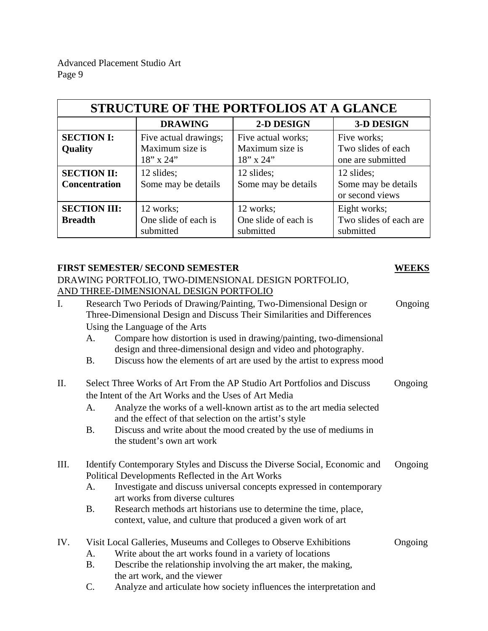| <b>STRUCTURE OF THE PORTFOLIOS AT A GLANCE</b> |                                                             |                                                          |                                                        |  |  |
|------------------------------------------------|-------------------------------------------------------------|----------------------------------------------------------|--------------------------------------------------------|--|--|
|                                                | <b>DRAWING</b>                                              | 2-D DESIGN                                               | <b>3-D DESIGN</b>                                      |  |  |
| <b>SECTION I:</b><br>Quality                   | Five actual drawings;<br>Maximum size is<br>$18''$ x $24''$ | Five actual works;<br>Maximum size is<br>$18''$ x $24''$ | Five works;<br>Two slides of each<br>one are submitted |  |  |
| <b>SECTION II:</b><br><b>Concentration</b>     | 12 slides;<br>Some may be details                           | 12 slides;<br>Some may be details                        | 12 slides;<br>Some may be details<br>or second views   |  |  |
| <b>SECTION III:</b><br><b>Breadth</b>          | 12 works;<br>One slide of each is<br>submitted              | 12 works;<br>One slide of each is<br>submitted           | Eight works;<br>Two slides of each are<br>submitted    |  |  |

### **FIRST SEMESTER/ SECOND SEMESTER WEEKS**

 DRAWING PORTFOLIO, TWO-DIMENSIONAL DESIGN PORTFOLIO, AND THREE-DIMENSIONAL DESIGN PORTFOLIO

| I.   |           | Research Two Periods of Drawing/Painting, Two-Dimensional Design or<br>Three-Dimensional Design and Discuss Their Similarities and Differences<br>Using the Language of the Arts | Ongoing |
|------|-----------|----------------------------------------------------------------------------------------------------------------------------------------------------------------------------------|---------|
|      | A.        | Compare how distortion is used in drawing/painting, two-dimensional<br>design and three-dimensional design and video and photography.                                            |         |
|      | Β.        | Discuss how the elements of art are used by the artist to express mood                                                                                                           |         |
| II.  |           | Select Three Works of Art From the AP Studio Art Portfolios and Discuss                                                                                                          | Ongoing |
|      |           | the Intent of the Art Works and the Uses of Art Media                                                                                                                            |         |
|      | A.        | Analyze the works of a well-known artist as to the art media selected<br>and the effect of that selection on the artist's style                                                  |         |
|      | <b>B.</b> | Discuss and write about the mood created by the use of mediums in<br>the student's own art work                                                                                  |         |
| III. |           | Identify Contemporary Styles and Discuss the Diverse Social, Economic and                                                                                                        | Ongoing |
|      |           | Political Developments Reflected in the Art Works                                                                                                                                |         |
|      | A.        | Investigate and discuss universal concepts expressed in contemporary<br>art works from diverse cultures                                                                          |         |
|      | <b>B.</b> | Research methods art historians use to determine the time, place,                                                                                                                |         |
|      |           | context, value, and culture that produced a given work of art                                                                                                                    |         |
| IV.  |           | Visit Local Galleries, Museums and Colleges to Observe Exhibitions                                                                                                               | Ongoing |
|      | A.        | Write about the art works found in a variety of locations                                                                                                                        |         |
|      | <b>B.</b> | Describe the relationship involving the art maker, the making,                                                                                                                   |         |
|      |           | the art work, and the viewer                                                                                                                                                     |         |
|      | C.        | Analyze and articulate how society influences the interpretation and                                                                                                             |         |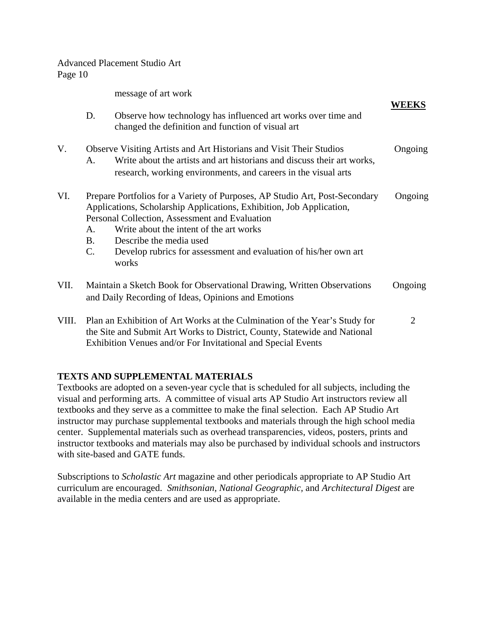message of art work

|       | D.                                                                                                                                                                                                                      | Observe how technology has influenced art works over time and<br>changed the definition and function of visual art                                                                                                                                                                                                                                       | <b>WEEKS</b> |
|-------|-------------------------------------------------------------------------------------------------------------------------------------------------------------------------------------------------------------------------|----------------------------------------------------------------------------------------------------------------------------------------------------------------------------------------------------------------------------------------------------------------------------------------------------------------------------------------------------------|--------------|
| V.    | A.                                                                                                                                                                                                                      | Observe Visiting Artists and Art Historians and Visit Their Studios<br>Write about the artists and art historians and discuss their art works,<br>research, working environments, and careers in the visual arts                                                                                                                                         | Ongoing      |
| VI.   | A.<br>Β.<br>C.                                                                                                                                                                                                          | Prepare Portfolios for a Variety of Purposes, AP Studio Art, Post-Secondary<br>Applications, Scholarship Applications, Exhibition, Job Application,<br>Personal Collection, Assessment and Evaluation<br>Write about the intent of the art works<br>Describe the media used<br>Develop rubrics for assessment and evaluation of his/her own art<br>works | Ongoing      |
| VII.  | Maintain a Sketch Book for Observational Drawing, Written Observations<br>and Daily Recording of Ideas, Opinions and Emotions                                                                                           |                                                                                                                                                                                                                                                                                                                                                          | Ongoing      |
| VIII. | Plan an Exhibition of Art Works at the Culmination of the Year's Study for<br>the Site and Submit Art Works to District, County, Statewide and National<br>Exhibition Venues and/or For Invitational and Special Events |                                                                                                                                                                                                                                                                                                                                                          | 2            |

### **TEXTS AND SUPPLEMENTAL MATERIALS**

Textbooks are adopted on a seven-year cycle that is scheduled for all subjects, including the visual and performing arts. A committee of visual arts AP Studio Art instructors review all textbooks and they serve as a committee to make the final selection. Each AP Studio Art instructor may purchase supplemental textbooks and materials through the high school media center. Supplemental materials such as overhead transparencies, videos, posters, prints and instructor textbooks and materials may also be purchased by individual schools and instructors with site-based and GATE funds.

Subscriptions to *Scholastic Art* magazine and other periodicals appropriate to AP Studio Art curriculum are encouraged. *Smithsonian, National Geographic,* and *Architectural Digest* are available in the media centers and are used as appropriate.